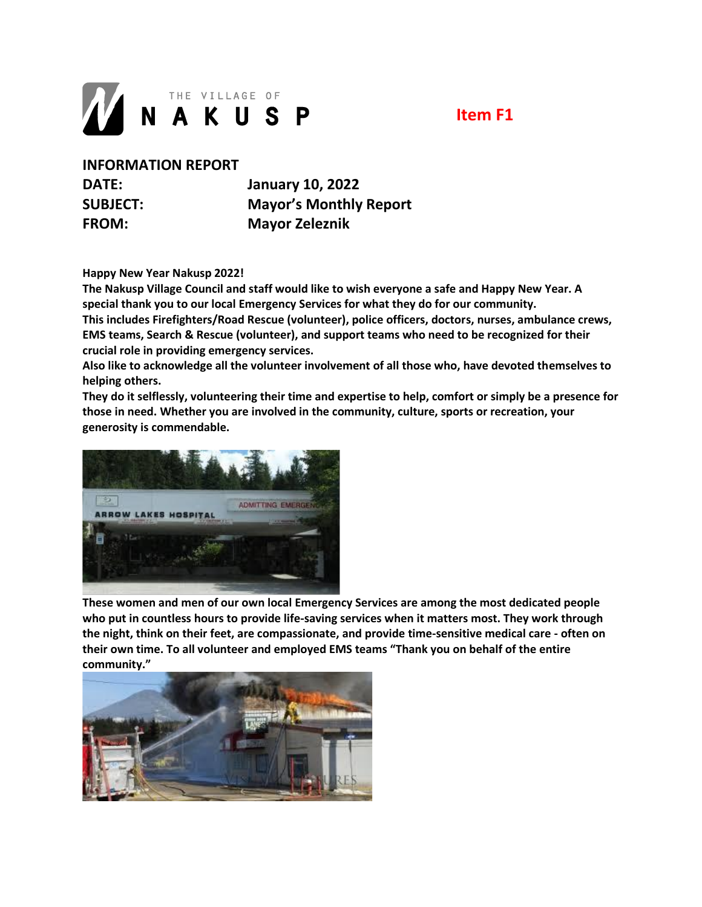

**Item F1**

**INFORMATION REPORT**

**DATE: January 10, 2022 SUBJECT: Mayor's Monthly Report FROM: Mayor Zeleznik**

**Happy New Year Nakusp 2022!** 

**The Nakusp Village Council and staff would like to wish everyone a safe and Happy New Year. A special thank you to our local Emergency Services for what they do for our community. This includes Firefighters/Road Rescue (volunteer), police officers, doctors, nurses, ambulance crews, EMS teams, Search & Rescue (volunteer), and support teams who need to be recognized for their crucial role in providing emergency services.**

**Also like to acknowledge all the volunteer involvement of all those who, have devoted themselves to helping others.**

**They do it selflessly, volunteering their time and expertise to help, comfort or simply be a presence for those in need. Whether you are involved in the community, culture, sports or recreation, your generosity is commendable.** 



**These women and men of our own local Emergency Services are among the most dedicated people who put in countless hours to provide life-saving services when it matters most. They work through the night, think on their feet, are compassionate, and provide time-sensitive medical care - often on their own time. To all volunteer and employed EMS teams "Thank you on behalf of the entire community."**

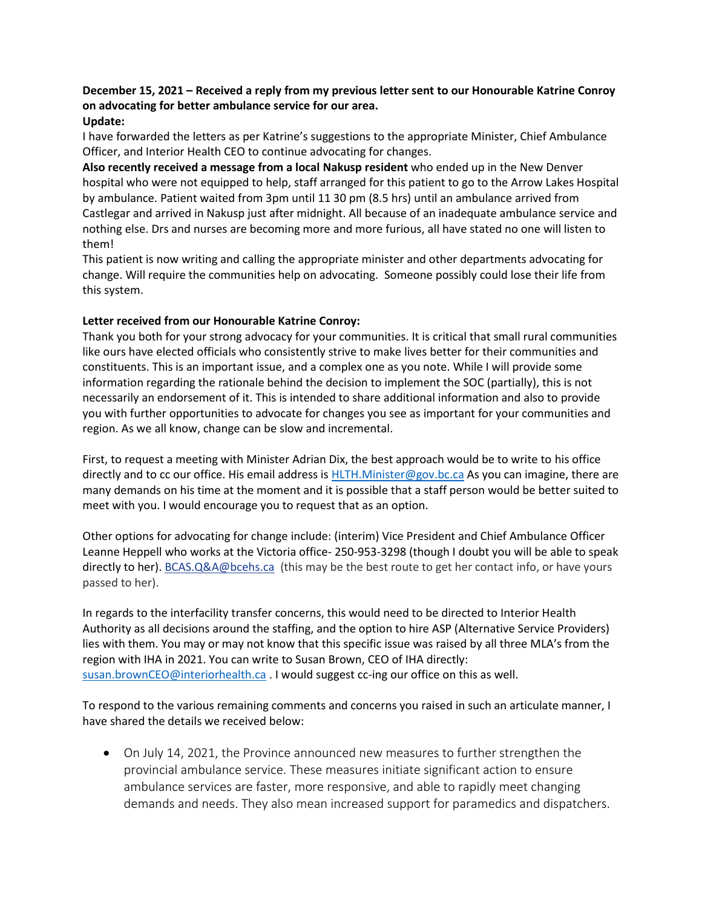# **December 15, 2021 – Received a reply from my previous letter sent to our Honourable Katrine Conroy on advocating for better ambulance service for our area.**

## **Update:**

I have forwarded the letters as per Katrine's suggestions to the appropriate Minister, Chief Ambulance Officer, and Interior Health CEO to continue advocating for changes.

**Also recently received a message from a local Nakusp resident** who ended up in the New Denver hospital who were not equipped to help, staff arranged for this patient to go to the Arrow Lakes Hospital by ambulance. Patient waited from 3pm until 11 30 pm (8.5 hrs) until an ambulance arrived from Castlegar and arrived in Nakusp just after midnight. All because of an inadequate ambulance service and nothing else. Drs and nurses are becoming more and more furious, all have stated no one will listen to them!

This patient is now writing and calling the appropriate minister and other departments advocating for change. Will require the communities help on advocating. Someone possibly could lose their life from this system.

### **Letter received from our Honourable Katrine Conroy:**

Thank you both for your strong advocacy for your communities. It is critical that small rural communities like ours have elected officials who consistently strive to make lives better for their communities and constituents. This is an important issue, and a complex one as you note. While I will provide some information regarding the rationale behind the decision to implement the SOC (partially), this is not necessarily an endorsement of it. This is intended to share additional information and also to provide you with further opportunities to advocate for changes you see as important for your communities and region. As we all know, change can be slow and incremental.

First, to request a meeting with Minister Adrian Dix, the best approach would be to write to his office directly and to cc our office. His email address is [HLTH.Minister@gov.bc.ca](mailto:HLTH.Minister@gov.bc.ca) As you can imagine, there are many demands on his time at the moment and it is possible that a staff person would be better suited to meet with you. I would encourage you to request that as an option.

Other options for advocating for change include: (interim) Vice President and Chief Ambulance Officer Leanne Heppell who works at the Victoria office- 250-953-3298 (though I doubt you will be able to speak directly to her)[. BCAS.Q&A@bcehs.ca](mailto:BCAS.Q&A@bcehs.ca) (this may be the best route to get her contact info, or have yours passed to her).

In regards to the interfacility transfer concerns, this would need to be directed to Interior Health Authority as all decisions around the staffing, and the option to hire ASP (Alternative Service Providers) lies with them. You may or may not know that this specific issue was raised by all three MLA's from the region with IHA in 2021. You can write to Susan Brown, CEO of IHA directly: [susan.brownCEO@interiorhealth.ca](mailto:susan.brownCEO@interiorhealth.ca) . I would suggest cc-ing our office on this as well.

To respond to the various remaining comments and concerns you raised in such an articulate manner, I have shared the details we received below:

• On July 14, 2021, the Province announced new measures to further strengthen the provincial ambulance service. These measures initiate significant action to ensure ambulance services are faster, more responsive, and able to rapidly meet changing demands and needs. They also mean increased support for paramedics and dispatchers.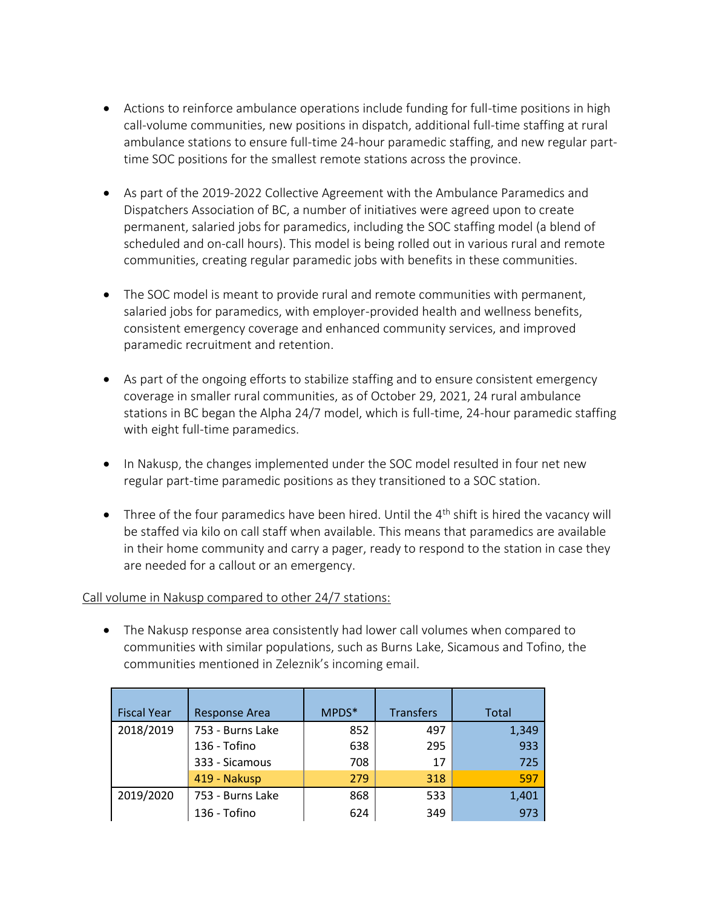- Actions to reinforce ambulance operations include funding for full-time positions in high call-volume communities, new positions in dispatch, additional full-time staffing at rural ambulance stations to ensure full-time 24-hour paramedic staffing, and new regular parttime SOC positions for the smallest remote stations across the province.
- As part of the 2019-2022 Collective Agreement with the Ambulance Paramedics and Dispatchers Association of BC, a number of initiatives were agreed upon to create permanent, salaried jobs for paramedics, including the SOC staffing model (a blend of scheduled and on-call hours). This model is being rolled out in various rural and remote communities, creating regular paramedic jobs with benefits in these communities.
- The SOC model is meant to provide rural and remote communities with permanent, salaried jobs for paramedics, with employer-provided health and wellness benefits, consistent emergency coverage and enhanced community services, and improved paramedic recruitment and retention.
- As part of the ongoing efforts to stabilize staffing and to ensure consistent emergency coverage in smaller rural communities, as of October 29, 2021, 24 rural ambulance stations in BC began the Alpha 24/7 model, which is full-time, 24-hour paramedic staffing with eight full-time paramedics.
- In Nakusp, the changes implemented under the SOC model resulted in four net new regular part-time paramedic positions as they transitioned to a SOC station.
- $\bullet$  Three of the four paramedics have been hired. Until the  $4^{\text{th}}$  shift is hired the vacancy will be staffed via kilo on call staff when available. This means that paramedics are available in their home community and carry a pager, ready to respond to the station in case they are needed for a callout or an emergency.

## Call volume in Nakusp compared to other 24/7 stations:

• The Nakusp response area consistently had lower call volumes when compared to communities with similar populations, such as Burns Lake, Sicamous and Tofino, the communities mentioned in Zeleznik's incoming email.

| <b>Fiscal Year</b> | <b>Response Area</b> | MPDS* | <b>Transfers</b> | <b>Total</b> |
|--------------------|----------------------|-------|------------------|--------------|
| 2018/2019          | 753 - Burns Lake     | 852   | 497              | 1,349        |
|                    | 136 - Tofino         | 638   | 295              | 933          |
|                    | 333 - Sicamous       | 708   | 17               | 725          |
|                    | 419 - Nakusp         | 279   | 318              | 597          |
| 2019/2020          | 753 - Burns Lake     | 868   | 533              | 1,401        |
|                    | 136 - Tofino         | 624   | 349              | 973          |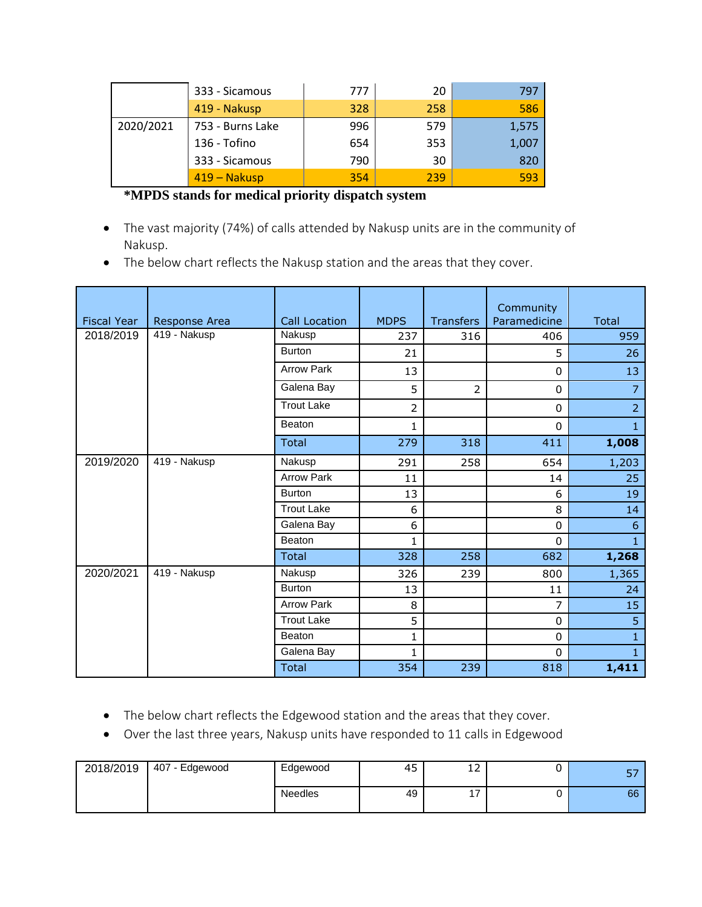|           | 333 - Sicamous   | 777 | 20  | 797   |
|-----------|------------------|-----|-----|-------|
|           | 419 - Nakusp     | 328 | 258 | 586   |
| 2020/2021 | 753 - Burns Lake | 996 | 579 | 1,575 |
|           | 136 - Tofino     | 654 | 353 | 1,007 |
|           | 333 - Sicamous   | 790 | 30  | 820   |
|           | 419 – Nakusp     | 354 | 239 | 593   |

# **\*MPDS stands for medical priority dispatch system**

- The vast majority (74%) of calls attended by Nakusp units are in the community of Nakusp.
- The below chart reflects the Nakusp station and the areas that they cover.

| <b>Fiscal Year</b> | Response Area | <b>Call Location</b> | <b>MDPS</b> | <b>Transfers</b> | Community<br>Paramedicine | <b>Total</b>   |
|--------------------|---------------|----------------------|-------------|------------------|---------------------------|----------------|
| 2018/2019          | 419 - Nakusp  | Nakusp               | 237         | 316              | 406                       | 959            |
|                    |               | <b>Burton</b>        | 21          |                  | 5                         | 26             |
|                    |               | <b>Arrow Park</b>    | 13          |                  | $\Omega$                  | 13             |
|                    |               | Galena Bay           | 5           | $\overline{2}$   | 0                         | $\overline{7}$ |
|                    |               | <b>Trout Lake</b>    | 2           |                  | $\Omega$                  | $\overline{2}$ |
|                    |               | Beaton               | 1           |                  | $\Omega$                  | $\mathbf{1}$   |
|                    |               | <b>Total</b>         | 279         | 318              | 411                       | 1,008          |
| 2019/2020          | 419 - Nakusp  | Nakusp               | 291         | 258              | 654                       | 1,203          |
|                    |               | <b>Arrow Park</b>    | 11          |                  | 14                        | 25             |
|                    |               | <b>Burton</b>        | 13          |                  | 6                         | 19             |
|                    |               | <b>Trout Lake</b>    | 6           |                  | 8                         | 14             |
|                    |               | Galena Bay           | 6           |                  | $\mathbf 0$               | 6              |
|                    |               | <b>Beaton</b>        | 1           |                  | $\Omega$                  | $\mathbf{1}$   |
|                    |               | Total                | 328         | 258              | 682                       | 1,268          |
| 2020/2021          | 419 - Nakusp  | Nakusp               | 326         | 239              | 800                       | 1,365          |
|                    |               | <b>Burton</b>        | 13          |                  | 11                        | 24             |
|                    |               | <b>Arrow Park</b>    | 8           |                  | 7                         | 15             |
|                    |               | <b>Trout Lake</b>    | 5           |                  | $\Omega$                  | 5              |
|                    |               | Beaton               | 1           |                  | $\Omega$                  | $\mathbf{1}$   |
|                    |               | Galena Bay           | 1           |                  | $\Omega$                  | $\mathbf{1}$   |
|                    |               | Total                | 354         | 239              | 818                       | 1,411          |

- The below chart reflects the Edgewood station and the areas that they cover.
- Over the last three years, Nakusp units have responded to 11 calls in Edgewood

| 2018/2019 | 407 - Edgewood | Edgewood       | 45 | $\overline{\phantom{a}}$<br>∸∸  | --<br>ັ |
|-----------|----------------|----------------|----|---------------------------------|---------|
|           |                | <b>Needles</b> | 49 | $\overline{\phantom{a}}$<br>. . | 66      |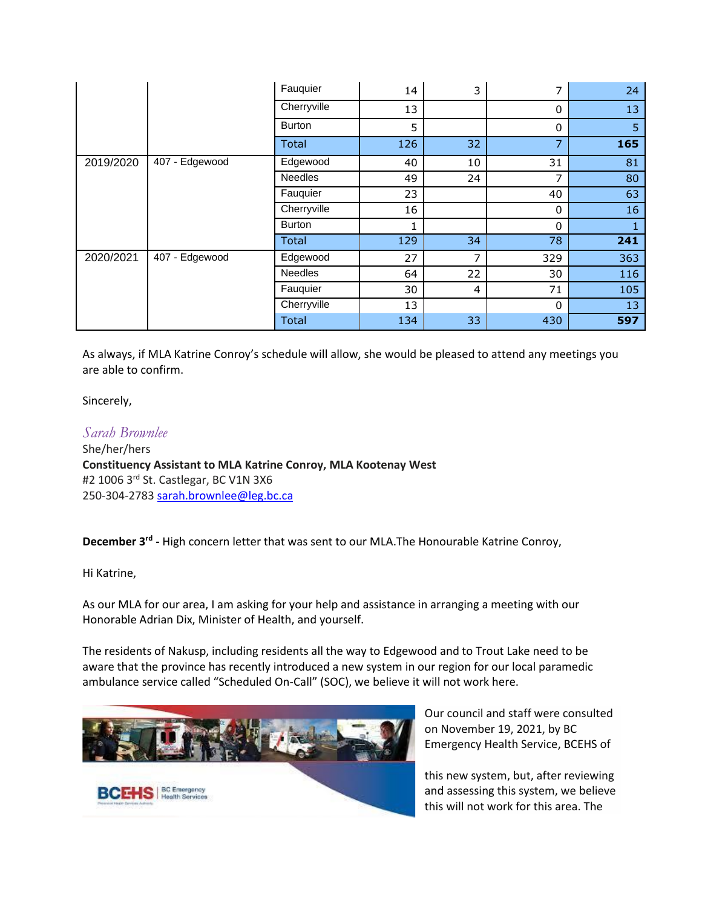|           |                | Fauquier      | 14  | 3  | 7        | 24  |
|-----------|----------------|---------------|-----|----|----------|-----|
|           |                | Cherryville   | 13  |    | $\Omega$ | 13  |
|           |                | <b>Burton</b> | 5   |    | $\Omega$ | 5   |
|           |                | <b>Total</b>  | 126 | 32 | 7        | 165 |
| 2019/2020 | 407 - Edgewood | Edgewood      | 40  | 10 | 31       | 81  |
|           |                | Needles       | 49  | 24 | 7        | 80  |
|           |                | Fauquier      | 23  |    | 40       | 63  |
|           |                | Cherryville   | 16  |    | $\Omega$ | 16  |
|           |                | <b>Burton</b> | 1   |    | $\Omega$ | Œ.  |
|           |                | <b>Total</b>  | 129 | 34 | 78       | 241 |
| 2020/2021 | 407 - Edgewood | Edgewood      | 27  | 7  | 329      | 363 |
|           |                | Needles       | 64  | 22 | 30       | 116 |
|           |                | Fauquier      | 30  | 4  | 71       | 105 |
|           |                | Cherryville   | 13  |    | $\Omega$ | 13  |
|           |                | <b>Total</b>  | 134 | 33 | 430      | 597 |

As always, if MLA Katrine Conroy's schedule will allow, she would be pleased to attend any meetings you are able to confirm.

Sincerely,

*Sarah Brownlee* She/her/hers **Constituency Assistant to MLA Katrine Conroy, MLA Kootenay West** #2 1006 3rd St. Castlegar, BC V1N 3X6 250-304-2783 [sarah.brownlee@leg.bc.ca](mailto:sarah.brownlee@leg.bc.ca)

December 3<sup>rd</sup> - High concern letter that was sent to our MLA.The Honourable Katrine Conroy,

Hi Katrine,

As our MLA for our area, I am asking for your help and assistance in arranging a meeting with our Honorable Adrian Dix, Minister of Health, and yourself.

The residents of Nakusp, including residents all the way to Edgewood and to Trout Lake need to be aware that the province has recently introduced a new system in our region for our local paramedic ambulance service called "Scheduled On-Call" (SOC), we believe it will not work here.



Our council and staff were consulted on November 19, 2021, by BC Emergency Health Service, BCEHS of

this new system, but, after reviewing and assessing this system, we believe this will not work for this area. The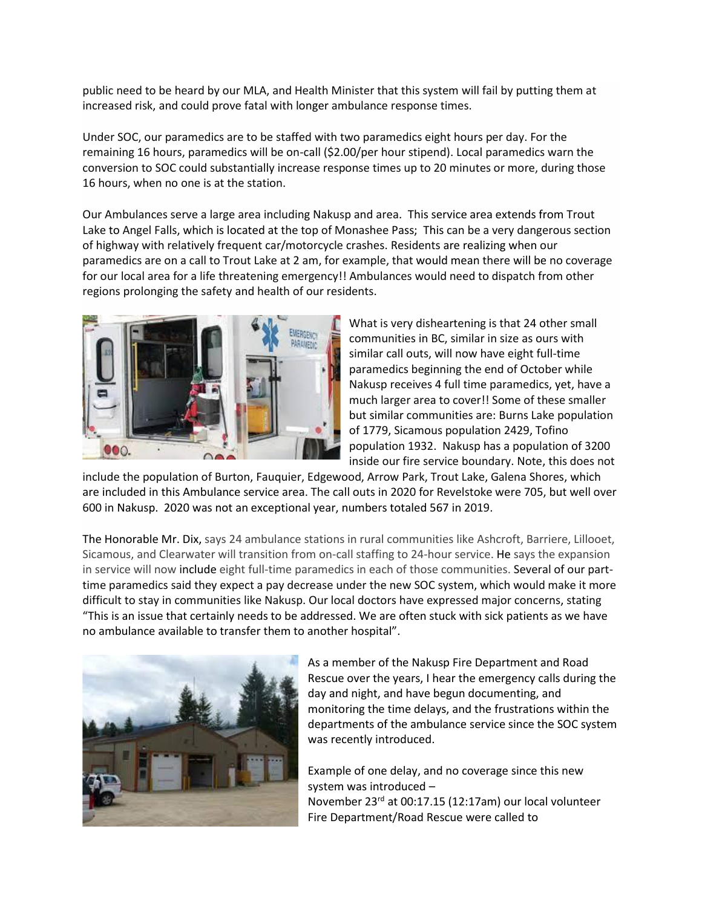public need to be heard by our MLA, and Health Minister that this system will fail by putting them at increased risk, and could prove fatal with longer ambulance response times.

Under SOC, our paramedics are to be staffed with two paramedics eight hours per day. For the remaining 16 hours, paramedics will be on-call (\$2.00/per hour stipend). Local paramedics warn the conversion to SOC could substantially increase response times up to 20 minutes or more, during those 16 hours, when no one is at the station.

Our Ambulances serve a large area including Nakusp and area. This service area extends from Trout Lake to Angel Falls, which is located at the top of Monashee Pass; This can be a very dangerous section of highway with relatively frequent car/motorcycle crashes. Residents are realizing when our paramedics are on a call to Trout Lake at 2 am, for example, that would mean there will be no coverage for our local area for a life threatening emergency!! Ambulances would need to dispatch from other regions prolonging the safety and health of our residents.



What is very disheartening is that 24 other small communities in BC, similar in size as ours with similar call outs, will now have eight full-time paramedics beginning the end of October while Nakusp receives 4 full time paramedics, yet, have a much larger area to cover!! Some of these smaller but similar communities are: Burns Lake population of 1779, Sicamous population 2429, Tofino population 1932. Nakusp has a population of 3200 inside our fire service boundary. Note, this does not

include the population of Burton, Fauquier, Edgewood, Arrow Park, Trout Lake, Galena Shores, which are included in this Ambulance service area. The call outs in 2020 for Revelstoke were 705, but well over 600 in Nakusp. 2020 was not an exceptional year, numbers totaled 567 in 2019.

The Honorable Mr. Dix, says 24 ambulance stations in rural communities like Ashcroft, Barriere, Lillooet, Sicamous, and Clearwater will transition from on-call staffing to 24-hour service. He says the expansion in service will now include eight full-time paramedics in each of those communities. Several of our parttime paramedics said they expect a pay decrease under the new SOC system, which would make it more difficult to stay in communities like Nakusp. Our local doctors have expressed major concerns, stating "This is an issue that certainly needs to be addressed. We are often stuck with sick patients as we have no ambulance available to transfer them to another hospital".



As a member of the Nakusp Fire Department and Road Rescue over the years, I hear the emergency calls during the day and night, and have begun documenting, and monitoring the time delays, and the frustrations within the departments of the ambulance service since the SOC system was recently introduced.

Example of one delay, and no coverage since this new system was introduced – November 23rd at 00:17.15 (12:17am) our local volunteer Fire Department/Road Rescue were called to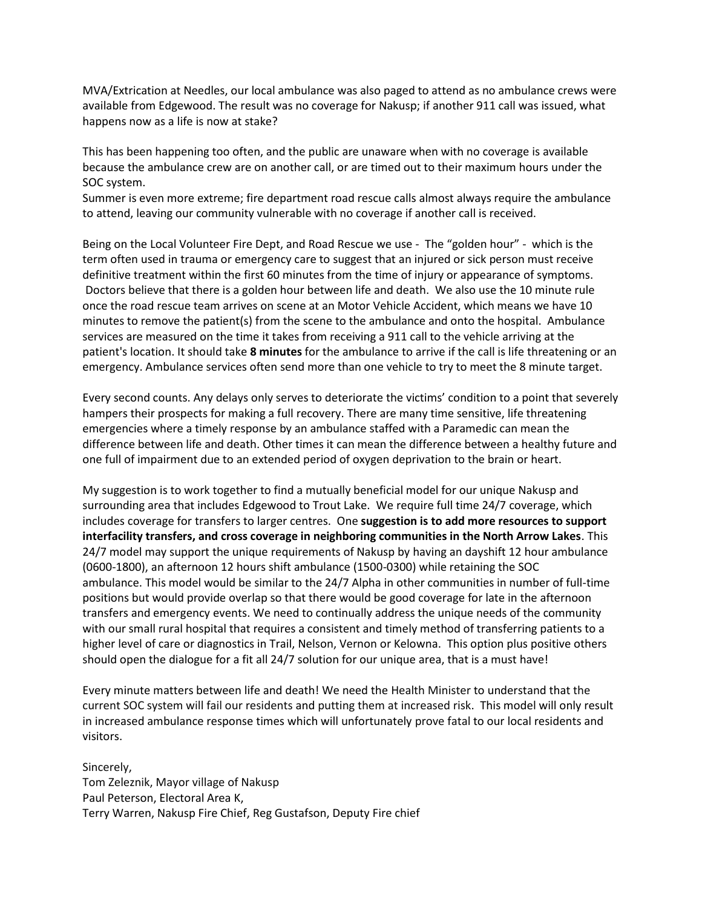MVA/Extrication at Needles, our local ambulance was also paged to attend as no ambulance crews were available from Edgewood. The result was no coverage for Nakusp; if another 911 call was issued, what happens now as a life is now at stake?

This has been happening too often, and the public are unaware when with no coverage is available because the ambulance crew are on another call, or are timed out to their maximum hours under the SOC system.

Summer is even more extreme; fire department road rescue calls almost always require the ambulance to attend, leaving our community vulnerable with no coverage if another call is received.

Being on the Local Volunteer Fire Dept, and Road Rescue we use - The "golden hour" - which is the term often used in trauma or emergency care to suggest that an injured or sick person must receive definitive treatment within the first 60 minutes from the time of injury or appearance of symptoms. Doctors believe that there is a golden hour between life and death. We also use the 10 minute rule once the road rescue team arrives on scene at an Motor Vehicle Accident, which means we have 10 minutes to remove the patient(s) from the scene to the ambulance and onto the hospital. Ambulance services are measured on the time it takes from receiving a 911 call to the vehicle arriving at the patient's location. It should take **8 minutes** for the ambulance to arrive if the call is life threatening or an emergency. Ambulance services often send more than one vehicle to try to meet the 8 minute target.

Every second counts. Any delays only serves to deteriorate the victims' condition to a point that severely hampers their prospects for making a full recovery. There are many time sensitive, life threatening emergencies where a timely response by an ambulance staffed with a Paramedic can mean the difference between life and death. Other times it can mean the difference between a healthy future and one full of impairment due to an extended period of oxygen deprivation to the brain or heart.

My suggestion is to work together to find a mutually beneficial model for our unique Nakusp and surrounding area that includes Edgewood to Trout Lake. We require full time 24/7 coverage, which includes coverage for transfers to larger centres. One **suggestion is to add more resources to support interfacility transfers, and cross coverage in neighboring communities in the North Arrow Lakes**. This 24/7 model may support the unique requirements of Nakusp by having an dayshift 12 hour ambulance (0600-1800), an afternoon 12 hours shift ambulance (1500-0300) while retaining the SOC ambulance. This model would be similar to the 24/7 Alpha in other communities in number of full-time positions but would provide overlap so that there would be good coverage for late in the afternoon transfers and emergency events. We need to continually address the unique needs of the community with our small rural hospital that requires a consistent and timely method of transferring patients to a higher level of care or diagnostics in Trail, Nelson, Vernon or Kelowna. This option plus positive others should open the dialogue for a fit all 24/7 solution for our unique area, that is a must have!

Every minute matters between life and death! We need the Health Minister to understand that the current SOC system will fail our residents and putting them at increased risk. This model will only result in increased ambulance response times which will unfortunately prove fatal to our local residents and visitors.

Sincerely, Tom Zeleznik, Mayor village of Nakusp Paul Peterson, Electoral Area K, Terry Warren, Nakusp Fire Chief, Reg Gustafson, Deputy Fire chief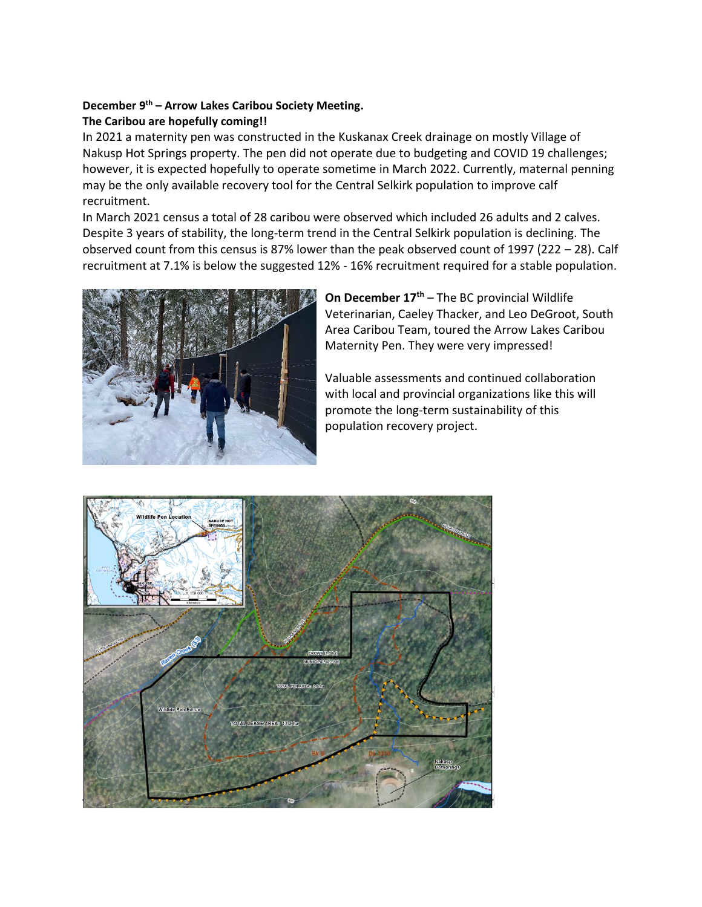## **December 9 th – Arrow Lakes Caribou Society Meeting. The Caribou are hopefully coming!!**

In 2021 a maternity pen was constructed in the Kuskanax Creek drainage on mostly Village of Nakusp Hot Springs property. The pen did not operate due to budgeting and COVID 19 challenges; however, it is expected hopefully to operate sometime in March 2022. Currently, maternal penning may be the only available recovery tool for the Central Selkirk population to improve calf recruitment.

In March 2021 census a total of 28 caribou were observed which included 26 adults and 2 calves. Despite 3 years of stability, the long-term trend in the Central Selkirk population is declining. The observed count from this census is 87% lower than the peak observed count of 1997 (222 – 28). Calf recruitment at 7.1% is below the suggested 12% - 16% recruitment required for a stable population.



**On December 17th** – The BC provincial Wildlife Veterinarian, Caeley Thacker, and Leo DeGroot, South Area Caribou Team, toured the Arrow Lakes Caribou Maternity Pen. They were very impressed!

Valuable assessments and continued collaboration with local and provincial organizations like this will promote the long-term sustainability of this population recovery project.

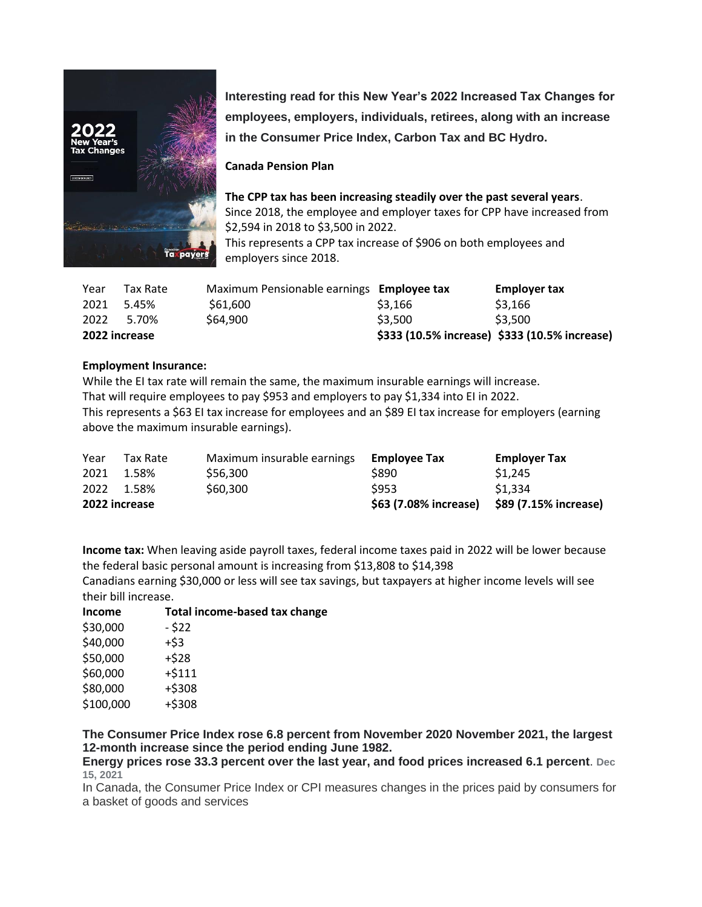

**Interesting read for this New Year's 2022 Increased Tax Changes for employees, employers, individuals, retirees, along with an increase in the Consumer Price Index, Carbon Tax and BC Hydro.**

## **Canada Pension Plan**

**The CPP tax has been increasing steadily over the past several years**. Since 2018, the employee and employer taxes for CPP have increased from \$2,594 in 2018 to \$3,500 in 2022. This represents a CPP tax increase of \$906 on both employees and

employers since 2018.

| Year | Tax Rate      | Maximum Pensionable earnings Employee tax |         | <b>Employer tax</b>                           |
|------|---------------|-------------------------------------------|---------|-----------------------------------------------|
| 2021 | 5.45%         | \$61,600                                  | \$3,166 | \$3.166                                       |
| 2022 | 5.70%         | \$64,900                                  | \$3,500 | \$3.500                                       |
|      | 2022 increase |                                           |         | \$333 (10.5% increase) \$333 (10.5% increase) |

## **Employment Insurance:**

While the EI tax rate will remain the same, the maximum insurable earnings will increase. That will require employees to pay \$953 and employers to pay \$1,334 into EI in 2022. This represents a \$63 EI tax increase for employees and an \$89 EI tax increase for employers (earning above the maximum insurable earnings).

| Year          | Tax Rate | Maximum insurable earnings | <b>Employee Tax</b>   | <b>Employer Tax</b>   |
|---------------|----------|----------------------------|-----------------------|-----------------------|
| 2021          | 1.58%    | \$56.300                   | \$890                 | \$1.245               |
| 2022 1.58%    |          | \$60,300                   | \$953                 | \$1.334               |
| 2022 increase |          |                            | \$63 (7.08% increase) | \$89 (7.15% increase) |

**Income tax:** When leaving aside payroll taxes, federal income taxes paid in 2022 will be lower because the federal basic personal amount is increasing from \$13,808 to \$14,398

Canadians earning \$30,000 or less will see tax savings, but taxpayers at higher income levels will see their bill increase.

| <b>Income</b> | Total income-based tax change |  |
|---------------|-------------------------------|--|
| \$30,000      | - \$22                        |  |
| \$40,000      | +\$3                          |  |
| \$50,000      | $+528$                        |  |
| \$60,000      | $+ $111$                      |  |
| \$80,000      | $+ $308$                      |  |
| \$100,000     | $+ $308$                      |  |

**The Consumer Price Index rose 6.8 percent from November 2020 November 2021, the largest 12-month increase since the period ending June 1982.** 

**Energy prices rose 33.3 percent over the last year, and food prices increased 6.1 percent**. **Dec 15, 2021**

In Canada, the Consumer Price Index or CPI measures changes in the prices paid by consumers for a basket of goods and services